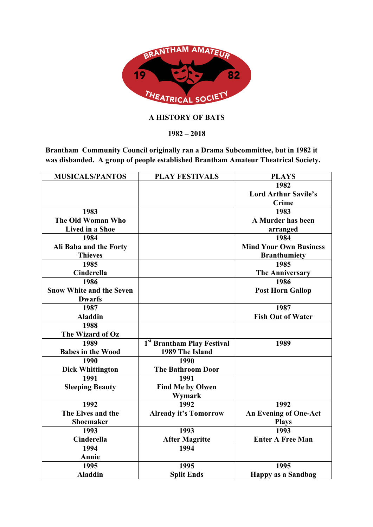

## **A HISTORY OF BATS**

**1982 – 2018**

**Brantham Community Council originally ran a Drama Subcommittee, but in 1982 it was disbanded. A group of people established Brantham Amateur Theatrical Society.** 

| <b>MUSICALS/PANTOS</b>          | <b>PLAY FESTIVALS</b>                  | <b>PLAYS</b>                  |
|---------------------------------|----------------------------------------|-------------------------------|
|                                 |                                        | 1982                          |
|                                 |                                        | <b>Lord Arthur Savile's</b>   |
|                                 |                                        | <b>Crime</b>                  |
| 1983                            |                                        | 1983                          |
| The Old Woman Who               |                                        | A Murder has been             |
| <b>Lived in a Shoe</b>          |                                        | arranged                      |
| 1984                            |                                        | 1984                          |
| Ali Baba and the Forty          |                                        | <b>Mind Your Own Business</b> |
| <b>Thieves</b>                  |                                        | <b>Branthumiety</b>           |
| 1985                            |                                        | 1985                          |
| Cinderella                      |                                        | <b>The Anniversary</b>        |
| 1986                            |                                        | 1986                          |
| <b>Snow White and the Seven</b> |                                        | <b>Post Horn Gallop</b>       |
| <b>Dwarfs</b>                   |                                        |                               |
| 1987                            |                                        | 1987                          |
| <b>Aladdin</b>                  |                                        | <b>Fish Out of Water</b>      |
| 1988                            |                                        |                               |
| The Wizard of Oz                |                                        |                               |
| 1989                            | 1 <sup>st</sup> Brantham Play Festival | 1989                          |
| <b>Babes in the Wood</b>        | 1989 The Island                        |                               |
| 1990                            | 1990                                   |                               |
| <b>Dick Whittington</b>         | <b>The Bathroom Door</b>               |                               |
| 1991                            | 1991                                   |                               |
| <b>Sleeping Beauty</b>          | <b>Find Me by Olwen</b>                |                               |
|                                 | Wymark                                 |                               |
| 1992                            | 1992                                   | 1992                          |
| The Elves and the               | <b>Already it's Tomorrow</b>           | <b>An Evening of One-Act</b>  |
| <b>Shoemaker</b>                |                                        | <b>Plays</b>                  |
| 1993                            | 1993                                   | 1993                          |
| <b>Cinderella</b>               | <b>After Magritte</b>                  | <b>Enter A Free Man</b>       |
| 1994                            | 1994                                   |                               |
| Annie                           |                                        |                               |
| 1995                            | 1995                                   | 1995                          |
| <b>Aladdin</b>                  | <b>Split Ends</b>                      | <b>Happy as a Sandbag</b>     |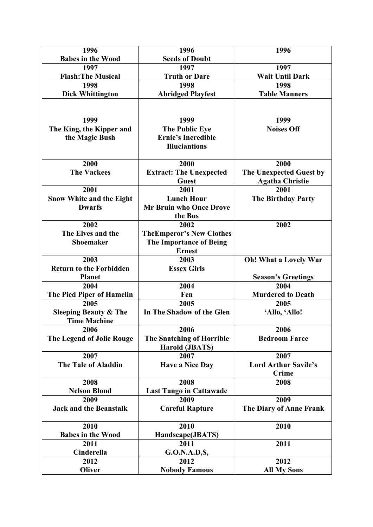| 1996                             | 1996                             | 1996                         |
|----------------------------------|----------------------------------|------------------------------|
| <b>Babes in the Wood</b>         | <b>Seeds of Doubt</b>            |                              |
| 1997                             | 1997                             | 1997                         |
| <b>Flash: The Musical</b>        | <b>Truth or Dare</b>             | <b>Wait Until Dark</b>       |
| 1998                             | 1998                             | 1998                         |
| <b>Dick Whittington</b>          | <b>Abridged Playfest</b>         | <b>Table Manners</b>         |
|                                  |                                  |                              |
|                                  |                                  |                              |
| 1999                             | 1999                             | 1999                         |
| The King, the Kipper and         | <b>The Public Eye</b>            | <b>Noises Off</b>            |
| the Magic Bush                   | <b>Ernie's Incredible</b>        |                              |
|                                  | <b>Illuciantions</b>             |                              |
| 2000                             | 2000                             | 2000                         |
| <b>The Vackees</b>               | <b>Extract: The Unexpected</b>   | The Unexpected Guest by      |
|                                  | <b>Guest</b>                     | <b>Agatha Christie</b>       |
| 2001                             | 2001                             | 2001                         |
| <b>Snow White and the Eight</b>  | <b>Lunch Hour</b>                | <b>The Birthday Party</b>    |
| <b>Dwarfs</b>                    | <b>Mr Bruin who Once Drove</b>   |                              |
|                                  | the Bus                          |                              |
| 2002                             | 2002                             | 2002                         |
| The Elves and the                | <b>TheEmperor's New Clothes</b>  |                              |
| <b>Shoemaker</b>                 | <b>The Importance of Being</b>   |                              |
|                                  | <b>Ernest</b>                    |                              |
| 2003                             | 2003                             | <b>Oh!</b> What a Lovely War |
| <b>Return to the Forbidden</b>   | <b>Essex Girls</b>               |                              |
| <b>Planet</b>                    |                                  | <b>Season's Greetings</b>    |
| 2004                             | 2004                             | 2004                         |
| The Pied Piper of Hamelin        | Fen                              | <b>Murdered to Death</b>     |
| 2005                             | 2005                             | 2005                         |
| <b>Sleeping Beauty &amp; The</b> | In The Shadow of the Glen        | 'Allo, 'Allo!                |
| <b>Time Machine</b>              |                                  |                              |
| 2006                             | 2006                             | 2006                         |
| <b>The Legend of Jolie Rouge</b> | <b>The Snatching of Horrible</b> | <b>Bedroom Farce</b>         |
|                                  | <b>Harold (JBATS)</b>            |                              |
| 2007                             | 2007                             | 2007                         |
| <b>The Tale of Aladdin</b>       | <b>Have a Nice Day</b>           | <b>Lord Arthur Savile's</b>  |
|                                  |                                  | <b>Crime</b>                 |
| 2008                             | 2008                             | 2008                         |
| <b>Nelson Blond</b>              | <b>Last Tango in Cattawade</b>   |                              |
| 2009                             | 2009                             | 2009                         |
| <b>Jack and the Beanstalk</b>    | <b>Careful Rapture</b>           | The Diary of Anne Frank      |
| 2010                             | 2010                             | 2010                         |
| <b>Babes in the Wood</b>         | Handscape(JBATS)                 |                              |
| 2011                             | 2011                             | 2011                         |
| Cinderella                       | G.O.N.A.D,S,                     |                              |
| 2012                             | 2012                             | 2012                         |
| Oliver                           | <b>Nobody Famous</b>             | <b>All My Sons</b>           |